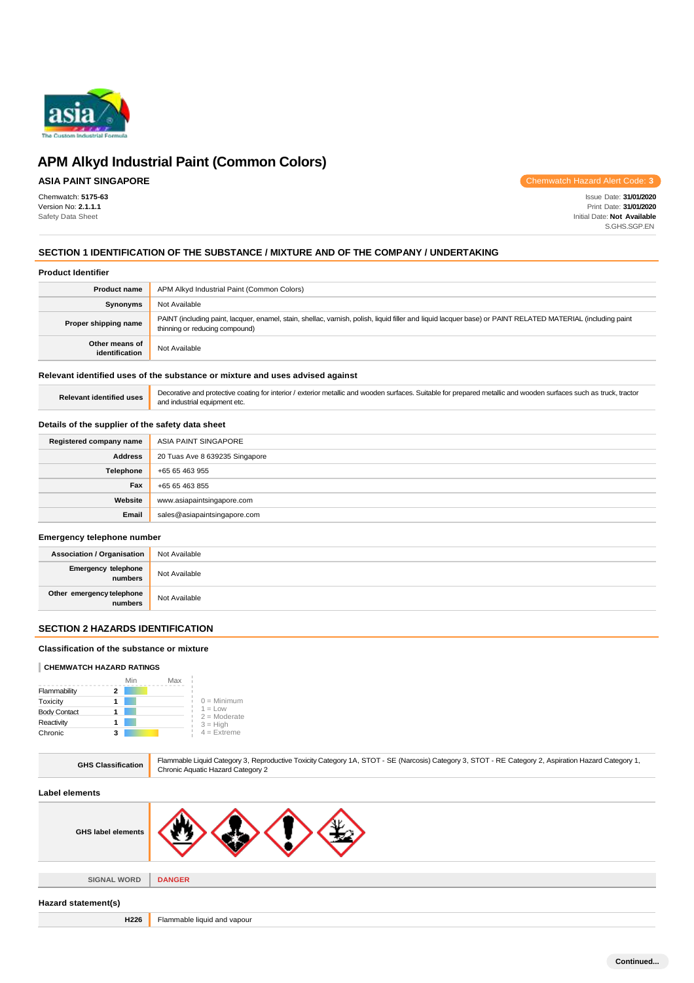

# **ASIA PAINT SINGAPORE**

Chemwatch: **5175-63** Version No: **2.1.1.1** Safety Data Sheet

Chemwatch Hazard Alert Code: **3**

Issue Date: **31/01/2020** Print Date: **31/01/2020** Initial Date: **Not Available** S.GHS.SGP.EN

# **SECTION 1 IDENTIFICATION OF THE SUBSTANCE / MIXTURE AND OF THE COMPANY / UNDERTAKING**

## **Product Identifier**

| <b>Product name</b>              | APM Alkyd Industrial Paint (Common Colors)                                                                                                                                                    |
|----------------------------------|-----------------------------------------------------------------------------------------------------------------------------------------------------------------------------------------------|
| <b>Synonyms</b>                  | Not Available                                                                                                                                                                                 |
| Proper shipping name             | PAINT (including paint, lacquer, enamel, stain, shellac, varnish, polish, liquid filler and liquid lacquer base) or PAINT RELATED MATERIAL (including paint<br>thinning or reducing compound) |
| Other means of<br>identification | Not Available                                                                                                                                                                                 |

## **Relevant identified uses of the substance or mixture and uses advised against**

Relevant identified uses **Decorative and protective coating for interior** / exterior metallic and wooden surfaces. Suitable for prepared metallic and wooden surfaces such as truck, tractor and industrial equipment etc.

### **Details of the supplier of the safety data sheet**

| Registered company name | ASIA PAINT SINGAPORE           |
|-------------------------|--------------------------------|
| <b>Address</b>          | 20 Tuas Ave 8 639235 Singapore |
| Telephone               | +65 65 463 955                 |
| Fax                     | +65 65 463 855                 |
| Website                 | www.asiapaintsingapore.com     |
| Email                   | sales@asiapaintsingapore.com   |

### **Emergency telephone number**

| <b>Association / Organisation</b>    | Not Available |
|--------------------------------------|---------------|
| Emergency telephone<br>numbers       | Not Available |
| Other emergency telephone<br>numbers | Not Available |

## **SECTION 2 HAZARDS IDENTIFICATION**

## **Classification of the substance or mixture**

## **CHEMWATCH HAZARD RATINGS**

|                     | Min | Max |                             |
|---------------------|-----|-----|-----------------------------|
| Flammability        |     |     |                             |
| Toxicity            |     |     | $0 =$ Minimum               |
| <b>Body Contact</b> |     |     | $1 = Low$<br>$2 =$ Moderate |
| Reactivity          |     |     | $3 = High$                  |
| Chronic             |     |     | $4$ = Extreme               |

| Flammable Liquid Category 3, Reproductive Toxicity Category 1A, STOT - SE (Narcosis) Category 3, STOT - RE Category 2, Aspiration Hazard Category 1,<br>Chronic Aquatic Hazard Category 2 |
|-------------------------------------------------------------------------------------------------------------------------------------------------------------------------------------------|
|                                                                                                                                                                                           |
|                                                                                                                                                                                           |
| <b>DANGER</b>                                                                                                                                                                             |
|                                                                                                                                                                                           |
| Flammable liquid and vapour                                                                                                                                                               |
|                                                                                                                                                                                           |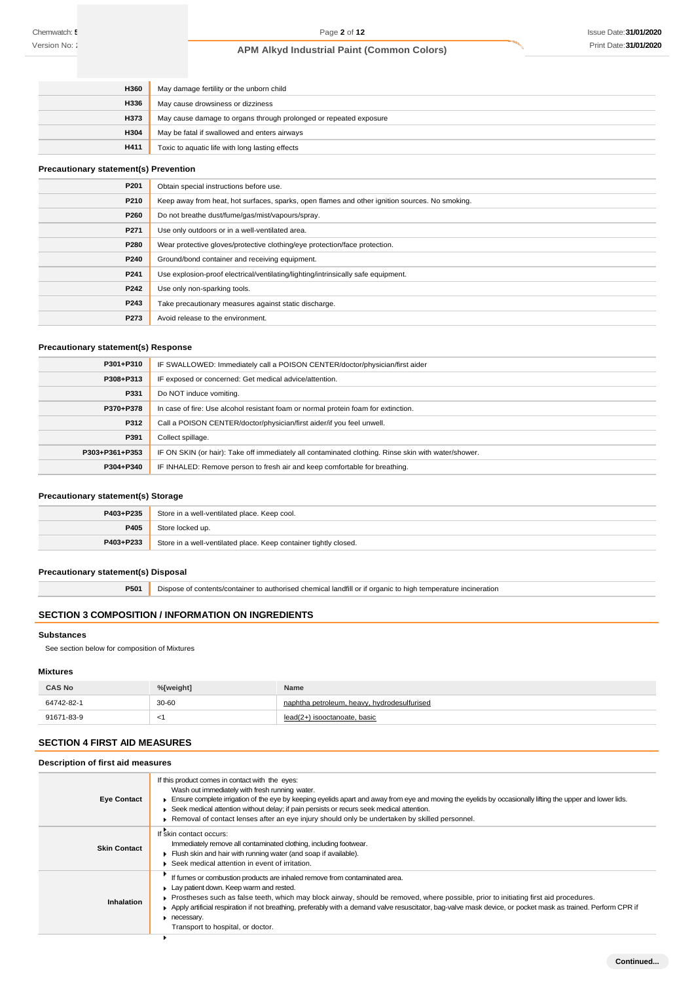| <b>H360</b> | May damage fertility or the unborn child                          |
|-------------|-------------------------------------------------------------------|
| <b>H336</b> | May cause drowsiness or dizziness                                 |
| <b>H373</b> | May cause damage to organs through prolonged or repeated exposure |
| <b>H304</b> | May be fatal if swallowed and enters airways                      |
| H411        | Toxic to aquatic life with long lasting effects                   |

## **Precautionary statement(s) Prevention**

| P201 | Obtain special instructions before use.                                                        |
|------|------------------------------------------------------------------------------------------------|
| P210 | Keep away from heat, hot surfaces, sparks, open flames and other ignition sources. No smoking. |
| P260 | Do not breathe dust/fume/gas/mist/vapours/spray.                                               |
| P271 | Use only outdoors or in a well-ventilated area.                                                |
| P280 | Wear protective gloves/protective clothing/eye protection/face protection.                     |
| P240 | Ground/bond container and receiving equipment.                                                 |
| P241 | Use explosion-proof electrical/ventilating/lighting/intrinsically safe equipment.              |
| P242 | Use only non-sparking tools.                                                                   |
| P243 | Take precautionary measures against static discharge.                                          |
| P273 | Avoid release to the environment.                                                              |

## **Precautionary statement(s) Response**

| P301+P310      | IF SWALLOWED: Immediately call a POISON CENTER/doctor/physician/first aider                         |
|----------------|-----------------------------------------------------------------------------------------------------|
| P308+P313      | IF exposed or concerned: Get medical advice/attention.                                              |
| P331           | Do NOT induce vomiting.                                                                             |
| P370+P378      | In case of fire: Use alcohol resistant foam or normal protein foam for extinction.                  |
| P312           | Call a POISON CENTER/doctor/physician/first aider/if you feel unwell.                               |
| P391           | Collect spillage.                                                                                   |
| P303+P361+P353 | IF ON SKIN (or hair): Take off immediately all contaminated clothing. Rinse skin with water/shower. |
| P304+P340      | IF INHALED: Remove person to fresh air and keep comfortable for breathing.                          |

## **Precautionary statement(s) Storage**

| P403+P235 | Store in a well-ventilated place. Keep cool.                     |  |
|-----------|------------------------------------------------------------------|--|
| P405      | Store locked up.                                                 |  |
| P403+P233 | Store in a well-ventilated place. Keep container tightly closed. |  |

## **Precautionary statement(s) Disposal**

**P501** Dispose of contents/container to authorised chemical landfill or if organic to high temperature incineration

# **SECTION 3 COMPOSITION / INFORMATION ON INGREDIENTS**

### **Substances**

See section below for composition of Mixtures

## **Mixtures**

| <b>CAS No</b> | %[weight] | <b>Name</b>                                 |
|---------------|-----------|---------------------------------------------|
| 64742-82-1    | $30 - 60$ | naphtha petroleum, heavy, hydrodesulfurised |
| 91671-83-9    |           | lead(2+) isooctanoate, basic                |

## **SECTION 4 FIRST AID MEASURES**

# **Description of first aid measures**

| <b>Eye Contact</b>  | If this product comes in contact with the eyes:<br>Wash out immediately with fresh running water.<br>Ensure complete irrigation of the eye by keeping eyelids apart and away from eye and moving the eyelids by occasionally lifting the upper and lower lids.<br>▶ Seek medical attention without delay; if pain persists or recurs seek medical attention.<br>Removal of contact lenses after an eye injury should only be undertaken by skilled personnel.                                          |
|---------------------|--------------------------------------------------------------------------------------------------------------------------------------------------------------------------------------------------------------------------------------------------------------------------------------------------------------------------------------------------------------------------------------------------------------------------------------------------------------------------------------------------------|
| <b>Skin Contact</b> | If skin contact occurs:<br>Immediately remove all contaminated clothing, including footwear.<br>Flush skin and hair with running water (and soap if available).<br>Seek medical attention in event of irritation.                                                                                                                                                                                                                                                                                      |
| Inhalation          | If fumes or combustion products are inhaled remove from contaminated area.<br>$\blacktriangleright$ Lay patient down. Keep warm and rested.<br>Prostheses such as false teeth, which may block airway, should be removed, where possible, prior to initiating first aid procedures.<br>Apply artificial respiration if not breathing, preferably with a demand valve resuscitator, bag-valve mask device, or pocket mask as trained. Perform CPR if<br>necessary.<br>Transport to hospital, or doctor. |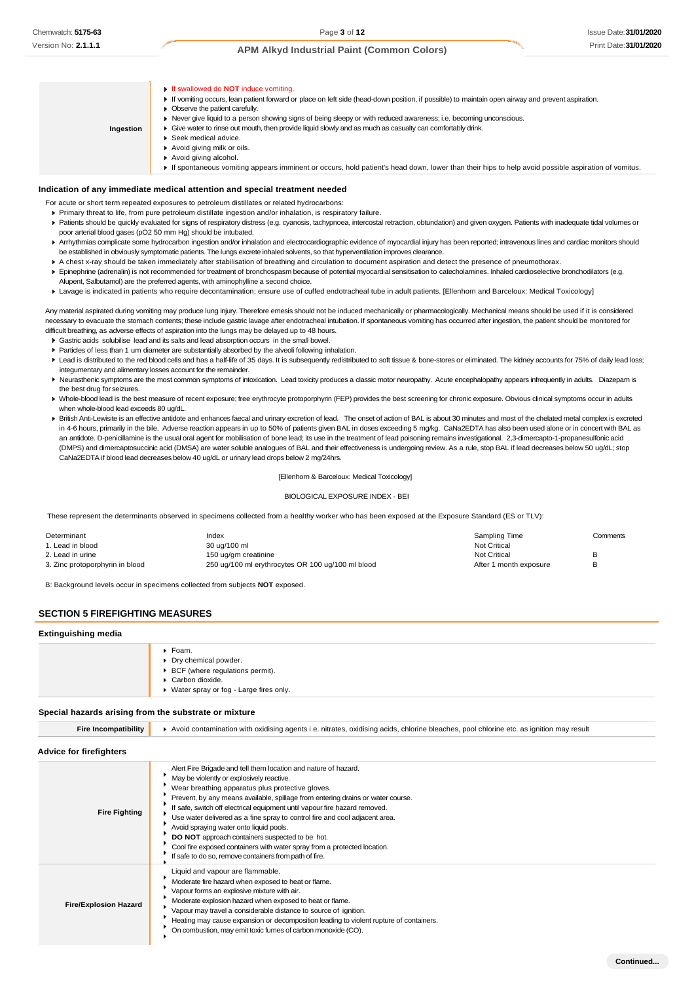**Indication of any immediate medical attention and special treatment needed** For acute or short term repeated exposures to petroleum distillates or related hydrocarbons: Primary threat to life, from pure petroleum distillate ingestion and/or inhalation, is respiratory failure. Patients should be quickly evaluated for signs of respiratory distress (e.g. cyanosis, tachypnoea, intercostal retraction, obtundation) and given oxygen. Patients with inadequate tidal volumes or poor arterial blood gases (pO2 50 mm Hg) should be intubated. ▶ Arrhythmias complicate some hydrocarbon ingestion and/or inhalation and electrocardiographic evidence of myocardial injury has been reported; intravenous lines and cardiac monitors should be established in obviously symptomatic patients. The lungs excrete inhaled solvents, so that hyperventilation improves clearance. A chest x-ray should be taken immediately after stabilisation of breathing and circulation to document aspiration and detect the presence of pneumothorax. Epinephrine (adrenalin) is not recommended for treatment of bronchospasm because of potential myocardial sensitisation to catecholamines. Inhaled cardioselective bronchodilators (e.g. Alupent, Salbutamol) are the preferred agents, with aminophylline a second choice. Lavage is indicated in patients who require decontamination; ensure use of cuffed endotracheal tube in adult patients. [Ellenhorn and Barceloux: Medical Toxicology] If swallowed do **NOT** induce vomiting. If vomiting occurs, lean patient forward or place on left side (head-down position, if possible) to maintain open airway and prevent aspiration. **Doserve the patient carefully.** Never give liquid to a person showing signs of being sleepy or with reduced awareness; i.e. becoming unconscious. Give water to rinse out mouth, then provide liquid slowly and as much as casualty can comfortably drink. ▶ Seek medical advice. Avoid giving milk or oils. Avoid giving alcohol. If spontaneous vomiting appears imminent or occurs, hold patient's head down, lower than their hips to help avoid possible aspiration of vomitus. **Ingestion**

Any material aspirated during vomiting may produce lung injury. Therefore emesis should not be induced mechanically or pharmacologically. Mechanical means should be used if it is considered necessary to evacuate the stomach contents; these include gastric lavage after endotracheal intubation. If spontaneous vomiting has occurred after ingestion, the patient should be monitored for difficult breathing, as adverse effects of aspiration into the lungs may be delayed up to 48 hours.

- Gastric acids solubilise lead and its salts and lead absorption occurs in the small bowel.
- Particles of less than 1 um diameter are substantially absorbed by the alveoli following inhalation.
- ▶ Lead is distributed to the red blood cells and has a half-life of 35 days. It is subsequently redistributed to soft tissue & bone-stores or eliminated. The kidney accounts for 75% of daily lead loss; integumentary and alimentary losses account for the remainder.
- ▶ Neurasthenic symptoms are the most common symptoms of intoxication. Lead toxicity produces a classic motor neuropathy. Acute encephalopathy appears infrequently in adults. Diazepam is the best drug for seizures.
- ▶ Whole-blood lead is the best measure of recent exposure; free erythrocyte protoporphyrin (FEP) provides the best screening for chronic exposure. Obvious clinical symptoms occur in adults when whole-blood lead exceeds 80 ug/dL
- ▶ British Anti-Lewisite is an effective antidote and enhances faecal and urinary excretion of lead. The onset of action of BAL is about 30 minutes and most of the chelated metal complex is excreted in 4-6 hours, primarily in the bile. Adverse reaction appears in up to 50% of patients given BAL in doses exceeding 5 mg/kg. CaNa2EDTA has also been used alone or in concert with BAL as an antidote. D-penicillamine is the usual oral agent for mobilisation of bone lead; its use in the treatment of lead poisoning remains investigational. 2,3-dimercapto-1-propanesulfonic acid (DMPS) and dimercaptosuccinic acid (DMSA) are water soluble analogues of BAL and their effectiveness is undergoing review. As a rule, stop BAL if lead decreases below 50 ug/dL; stop CaNa2EDTA if blood lead decreases below 40 ug/dL or urinary lead drops below 2 mg/24hrs.

### [Ellenhorn & Barceloux: Medical Toxicology]

### BIOLOGICAL EXPOSURE INDEX - BEI

These represent the determinants observed in specimens collected from a healthy worker who has been exposed at the Exposure Standard (ES or TLV):

| Determinant                     | Index                                             | Sampling Time          | Comments |
|---------------------------------|---------------------------------------------------|------------------------|----------|
| . Lead in blood                 | 30 ug/100 ml                                      | <b>Not Critical</b>    |          |
| 2. Lead in urine                | 150 ug/gm creatinine                              | <b>Not Critical</b>    |          |
| 3. Zinc protoporphyrin in blood | 250 ug/100 ml erythrocytes OR 100 ug/100 ml blood | After 1 month exposure |          |

B: Background levels occur in specimens collected from subjects **NOT** exposed.

## **SECTION 5 FIREFIGHTING MEASURES**

### **Extinguishing media**

| ▶ Foam.<br>▶ Dry chemical powder.<br>▶ BCF (where regulations permit).<br>Carbon dioxide.<br>• Water spray or fog - Large fires only. |
|---------------------------------------------------------------------------------------------------------------------------------------|
|                                                                                                                                       |

### **Special hazards arising from the substrate or mixture**

| <b>Fire Incompatibility</b>    | Avoid contamination with oxidising agents i.e. nitrates, oxidising acids, chlorine bleaches, pool chlorine etc. as ignition may result                                                                                                                                                                                                                                                                                                                                                                                                                                                                                                               |
|--------------------------------|------------------------------------------------------------------------------------------------------------------------------------------------------------------------------------------------------------------------------------------------------------------------------------------------------------------------------------------------------------------------------------------------------------------------------------------------------------------------------------------------------------------------------------------------------------------------------------------------------------------------------------------------------|
| <b>Advice for firefighters</b> |                                                                                                                                                                                                                                                                                                                                                                                                                                                                                                                                                                                                                                                      |
| <b>Fire Fighting</b>           | Alert Fire Brigade and tell them location and nature of hazard.<br>May be violently or explosively reactive.<br>Wear breathing apparatus plus protective gloves.<br>Prevent, by any means available, spillage from entering drains or water course.<br>If safe, switch off electrical equipment until vapour fire hazard removed.<br>Use water delivered as a fine spray to control fire and cool adjacent area.<br>Avoid spraying water onto liquid pools.<br>DO NOT approach containers suspected to be hot.<br>Cool fire exposed containers with water spray from a protected location.<br>If safe to do so, remove containers from path of fire. |
| <b>Fire/Explosion Hazard</b>   | Liquid and vapour are flammable.<br>Moderate fire hazard when exposed to heat or flame.<br>Vapour forms an explosive mixture with air.<br>Moderate explosion hazard when exposed to heat or flame.<br>Vapour may travel a considerable distance to source of ignition.<br>Heating may cause expansion or decomposition leading to violent rupture of containers.<br>On combustion, may emit toxic fumes of carbon monoxide (CO).                                                                                                                                                                                                                     |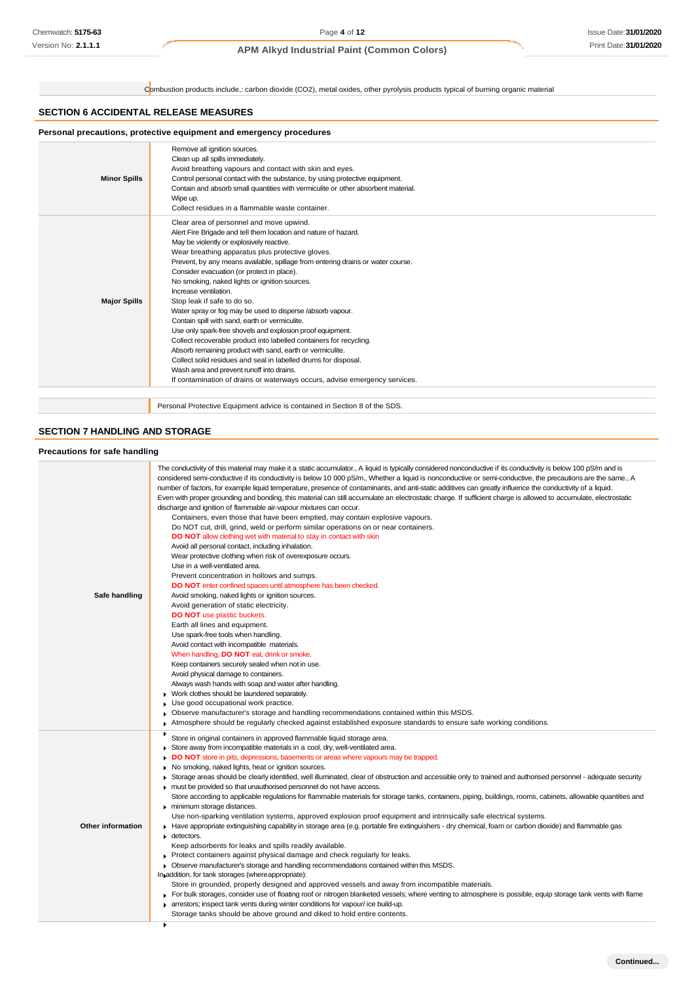# Issue Date:**31/01/2020** Print Date:**31/01/2020**

# **APM Alkyd Industrial Paint (Common Colors)**

Combustion products include,: carbon dioxide (CO2), metal oxides, other pyrolysis products typical of burning organic material

## **SECTION 6 ACCIDENTAL RELEASE MEASURES**

# **Personal precautions, protective equipment and emergency procedures**

| <b>Minor Spills</b> | Remove all ignition sources.<br>Clean up all spills immediately.<br>Avoid breathing vapours and contact with skin and eyes.<br>Control personal contact with the substance, by using protective equipment.<br>Contain and absorb small quantities with vermiculite or other absorbent material.<br>Wipe up.<br>Collect residues in a flammable waste container.                                                                                                                                                                                                                                                                                                                                                                                                                                                                                                                                                                                                        |
|---------------------|------------------------------------------------------------------------------------------------------------------------------------------------------------------------------------------------------------------------------------------------------------------------------------------------------------------------------------------------------------------------------------------------------------------------------------------------------------------------------------------------------------------------------------------------------------------------------------------------------------------------------------------------------------------------------------------------------------------------------------------------------------------------------------------------------------------------------------------------------------------------------------------------------------------------------------------------------------------------|
| <b>Major Spills</b> | Clear area of personnel and move upwind.<br>Alert Fire Brigade and tell them location and nature of hazard.<br>May be violently or explosively reactive.<br>Wear breathing apparatus plus protective gloves.<br>Prevent, by any means available, spillage from entering drains or water course.<br>Consider evacuation (or protect in place).<br>No smoking, naked lights or ignition sources.<br>Increase ventilation.<br>Stop leak if safe to do so.<br>Water spray or fog may be used to disperse /absorb vapour.<br>Contain spill with sand, earth or vermiculite.<br>Use only spark-free shovels and explosion proof equipment.<br>Collect recoverable product into labelled containers for recycling.<br>Absorb remaining product with sand, earth or vermiculite.<br>Collect solid residues and seal in labelled drums for disposal.<br>Wash area and prevent runoff into drains.<br>If contamination of drains or waterways occurs, advise emergency services. |
|                     |                                                                                                                                                                                                                                                                                                                                                                                                                                                                                                                                                                                                                                                                                                                                                                                                                                                                                                                                                                        |

Personal Protective Equipment advice is contained in Section 8 of the SDS.

# **SECTION 7 HANDLING AND STORAGE**

## **Precautions for safe handling**

| Safe handling            | The conductivity of this material may make it a static accumulator., A liquid is typically considered nonconductive if its conductivity is below 100 pS/m and is<br>considered semi-conductive if its conductivity is below 10 000 pS/m., Whether a liquid is nonconductive or semi-conductive, the precautions are the same., A<br>number of factors, for example liquid temperature, presence of contaminants, and anti-static additives can greatly influence the conductivity of a liquid.<br>Even with proper grounding and bonding, this material can still accumulate an electrostatic charge. If sufficient charge is allowed to accumulate, electrostatic<br>discharge and ignition of flammable air-vapour mixtures can occur.<br>Containers, even those that have been emptied, may contain explosive vapours.<br>Do NOT cut, drill, grind, weld or perform similar operations on or near containers.<br><b>DO NOT</b> allow clothing wet with material to stay in contact with skin<br>Avoid all personal contact, including inhalation.<br>Wear protective clothing when risk of overexposure occurs.<br>Use in a well-ventilated area.<br>Prevent concentration in hollows and sumps.<br>DO NOT enter confined spaces until atmosphere has been checked.<br>Avoid smoking, naked lights or ignition sources.<br>Avoid generation of static electricity.<br><b>DO NOT</b> use plastic buckets.<br>Earth all lines and equipment.<br>Use spark-free tools when handling.<br>Avoid contact with incompatible materials.<br>When handling, <b>DO NOT</b> eat, drink or smoke.<br>Keep containers securely sealed when not in use.<br>Avoid physical damage to containers.<br>Always wash hands with soap and water after handling.<br>Work clothes should be laundered separately.<br>Use good occupational work practice.<br>Observe manufacturer's storage and handling recommendations contained within this MSDS.<br>Atmosphere should be regularly checked against established exposure standards to ensure safe working conditions.<br>۰. |
|--------------------------|-----------------------------------------------------------------------------------------------------------------------------------------------------------------------------------------------------------------------------------------------------------------------------------------------------------------------------------------------------------------------------------------------------------------------------------------------------------------------------------------------------------------------------------------------------------------------------------------------------------------------------------------------------------------------------------------------------------------------------------------------------------------------------------------------------------------------------------------------------------------------------------------------------------------------------------------------------------------------------------------------------------------------------------------------------------------------------------------------------------------------------------------------------------------------------------------------------------------------------------------------------------------------------------------------------------------------------------------------------------------------------------------------------------------------------------------------------------------------------------------------------------------------------------------------------------------------------------------------------------------------------------------------------------------------------------------------------------------------------------------------------------------------------------------------------------------------------------------------------------------------------------------------------------------------------------------------------------------------------------------------------------------------------------------------------------|
| <b>Other information</b> | Store in original containers in approved flammable liquid storage area.<br>Store away from incompatible materials in a cool, dry, well-ventilated area.<br>۰.<br><b>DO NOT</b> store in pits, depressions, basements or areas where vapours may be trapped.<br>No smoking, naked lights, heat or ignition sources.<br>▶ Storage areas should be clearly identified, well illuminated, clear of obstruction and accessible only to trained and authorised personnel - adequate security<br>must be provided so that unauthorised personnel do not have access.<br>Store according to applicable regulations for flammable materials for storage tanks, containers, piping, buildings, rooms, cabinets, allowable quantities and<br>minimum storage distances.<br>Use non-sparking ventilation systems, approved explosion proof equipment and intrinsically safe electrical systems.<br>Have appropriate extinguishing capability in storage area (e.g. portable fire extinguishers - dry chemical, foam or carbon dioxide) and flammable gas<br>$\blacktriangleright$ detectors.<br>Keep adsorbents for leaks and spills readily available.<br>$\triangleright$ Protect containers against physical damage and check regularly for leaks.<br>• Observe manufacturer's storage and handling recommendations contained within this MSDS.<br>In addition, for tank storages (where appropriate):<br>Store in grounded, properly designed and approved vessels and away from incompatible materials.<br>For bulk storages, consider use of floating roof or nitrogen blanketed vessels; where venting to atmosphere is possible, equip storage tank vents with flame<br>arrestors; inspect tank vents during winter conditions for vapour/ice build-up.<br>Storage tanks should be above ground and diked to hold entire contents.                                                                                                                                                                                                                            |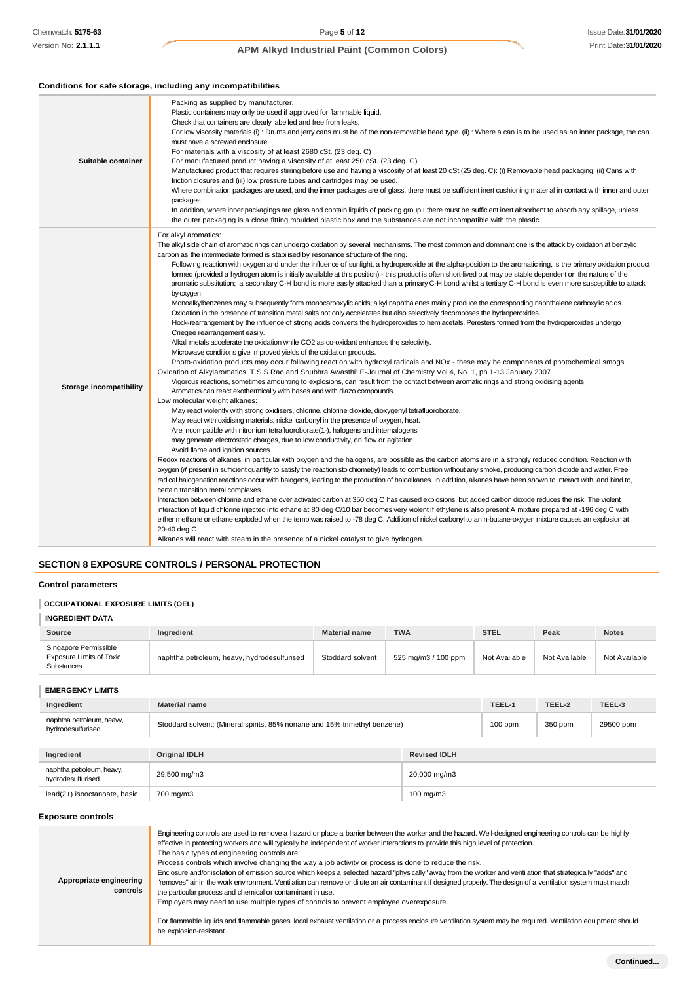## **Conditions for safe storage, including any incompatibilities**

| Suitable container             | Packing as supplied by manufacturer.<br>Plastic containers may only be used if approved for flammable liquid.<br>Check that containers are clearly labelled and free from leaks.<br>For low viscosity materials (i): Drums and jerry cans must be of the non-removable head type. (ii): Where a can is to be used as an inner package, the can<br>must have a screwed enclosure.<br>For materials with a viscosity of at least 2680 cSt. (23 deg. C)<br>For manufactured product having a viscosity of at least 250 cSt. (23 deg. C)<br>Manufactured product that requires stirring before use and having a viscosity of at least 20 cSt (25 deg. C): (i) Removable head packaging; (ii) Cans with<br>friction closures and (iii) low pressure tubes and cartridges may be used.<br>Where combination packages are used, and the inner packages are of glass, there must be sufficient inert cushioning material in contact with inner and outer<br>packages<br>In addition, where inner packagings are glass and contain liquids of packing group I there must be sufficient inert absorbent to absorb any spillage, unless<br>the outer packaging is a close fitting moulded plastic box and the substances are not incompatible with the plastic.                                                                                                                                                                                                                                                                                                                                                                                                                                                                                                                                                                                                                                                                                                                                                                                                                                                                                                                                                                                                                                                                                                                                                                                                                                                                                                                                                                                                                                                                                                                                                                                                                                                                                                                                                                                                                                                                                                                                                                                                                                                                                                                                                                                                                                                                           |
|--------------------------------|--------------------------------------------------------------------------------------------------------------------------------------------------------------------------------------------------------------------------------------------------------------------------------------------------------------------------------------------------------------------------------------------------------------------------------------------------------------------------------------------------------------------------------------------------------------------------------------------------------------------------------------------------------------------------------------------------------------------------------------------------------------------------------------------------------------------------------------------------------------------------------------------------------------------------------------------------------------------------------------------------------------------------------------------------------------------------------------------------------------------------------------------------------------------------------------------------------------------------------------------------------------------------------------------------------------------------------------------------------------------------------------------------------------------------------------------------------------------------------------------------------------------------------------------------------------------------------------------------------------------------------------------------------------------------------------------------------------------------------------------------------------------------------------------------------------------------------------------------------------------------------------------------------------------------------------------------------------------------------------------------------------------------------------------------------------------------------------------------------------------------------------------------------------------------------------------------------------------------------------------------------------------------------------------------------------------------------------------------------------------------------------------------------------------------------------------------------------------------------------------------------------------------------------------------------------------------------------------------------------------------------------------------------------------------------------------------------------------------------------------------------------------------------------------------------------------------------------------------------------------------------------------------------------------------------------------------------------------------------------------------------------------------------------------------------------------------------------------------------------------------------------------------------------------------------------------------------------------------------------------------------------------------------------------------------------------------------------------------------------------------------------------------------------------------------------------------------------------------------------------------------------------------------|
| <b>Storage incompatibility</b> | For alkyl aromatics:<br>The alkyl side chain of aromatic rings can undergo oxidation by several mechanisms. The most common and dominant one is the attack by oxidation at benzylic<br>carbon as the intermediate formed is stabilised by resonance structure of the ring.<br>Following reaction with oxygen and under the influence of sunlight, a hydroperoxide at the alpha-position to the aromatic ring, is the primary oxidation product<br>formed (provided a hydrogen atom is initially available at this position) - this product is often short-lived but may be stable dependent on the nature of the<br>aromatic substitution; a secondary C-H bond is more easily attacked than a primary C-H bond whilst a tertiary C-H bond is even more susceptible to attack<br>by oxygen<br>Monoalkylbenzenes may subsequently form monocarboxylic acids; alkyl naphthalenes mainly produce the corresponding naphthalene carboxylic acids.<br>Oxidation in the presence of transition metal salts not only accelerates but also selectively decomposes the hydroperoxides.<br>Hock-rearrangement by the influence of strong acids converts the hydroperoxides to hemiacetals. Peresters formed from the hydroperoxides undergo<br>Criegee rearrangement easily.<br>Alkali metals accelerate the oxidation while CO2 as co-oxidant enhances the selectivity.<br>Microwave conditions give improved yields of the oxidation products.<br>Photo-oxidation products may occur following reaction with hydroxyl radicals and NOx - these may be components of photochemical smogs.<br>Oxidation of Alkylaromatics: T.S.S Rao and Shubhra Awasthi: E-Journal of Chemistry Vol 4, No. 1, pp 1-13 January 2007<br>Vigorous reactions, sometimes amounting to explosions, can result from the contact between aromatic rings and strong oxidising agents.<br>Aromatics can react exothermically with bases and with diazo compounds.<br>Low molecular weight alkanes:<br>May react violently with strong oxidisers, chlorine, chlorine dioxide, dioxygenyl tetrafluoroborate.<br>May react with oxidising materials, nickel carbonyl in the presence of oxygen, heat.<br>Are incompatible with nitronium tetrafluoroborate(1-), halogens and interhalogens<br>may generate electrostatic charges, due to low conductivity, on flow or agitation.<br>Avoid flame and ignition sources<br>Redox reactions of alkanes, in particular with oxygen and the halogens, are possible as the carbon atoms are in a strongly reduced condition. Reaction with<br>oxygen (if present in sufficient quantity to satisfy the reaction stoichiometry) leads to combustion without any smoke, producing carbon dioxide and water. Free<br>radical halogenation reactions occur with halogens, leading to the production of haloalkanes. In addition, alkanes have been shown to interact with, and bind to,<br>certain transition metal complexes<br>Interaction between chlorine and ethane over activated carbon at 350 deg C has caused explosions, but added carbon dioxide reduces the risk. The violent<br>interaction of liquid chlorine injected into ethane at 80 deg C/10 bar becomes very violent if ethylene is also present A mixture prepared at -196 deg C with<br>either methane or ethane exploded when the temp was raised to -78 deg C. Addition of nickel carbonyl to an n-butane-oxygen mixture causes an explosion at<br>20-40 deg C.<br>Alkanes will react with steam in the presence of a nickel catalyst to give hydrogen. |

# **SECTION 8 EXPOSURE CONTROLS / PERSONAL PROTECTION**

## **Control parameters**

# **OCCUPATIONAL EXPOSURE LIMITS (OEL)**

# **INGREDIENT DATA**

| Source                                                                 | Ingredient                                                                | <b>Material name</b> | <b>TWA</b>          | <b>STEL</b>   | Peak          | <b>Notes</b>  |
|------------------------------------------------------------------------|---------------------------------------------------------------------------|----------------------|---------------------|---------------|---------------|---------------|
| Singapore Permissible<br><b>Exposure Limits of Toxic</b><br>Substances | naphtha petroleum, heavy, hydrodesulfurised                               | Stoddard solvent     | 525 mg/m3 / 100 ppm | Not Available | Not Available | Not Available |
| <b>EMERGENCY LIMITS</b>                                                |                                                                           |                      |                     |               |               |               |
| Ingredient                                                             | <b>Material name</b>                                                      |                      |                     | TEEL-1        | TEEL-2        | TEEL-3        |
| naphtha petroleum, heavy,<br>hydrodesulfurised                         | Stoddard solvent; (Mineral spirits, 85% nonane and 15% trimethyl benzene) |                      |                     | $100$ ppm     | 350 ppm       | 29500 ppm     |
|                                                                        |                                                                           |                      |                     |               |               |               |
|                                                                        |                                                                           |                      |                     |               |               |               |

| Ingredient                                     | <b>Original IDLH</b> | <b>Revised IDLH</b>  |
|------------------------------------------------|----------------------|----------------------|
| naphtha petroleum, heavy,<br>hvdrodesulfurised | 29,500 mg/m3         | 20,000 mg/m3         |
| lead(2+) isooctanoate, basic                   | 700 mg/m3            | $100 \text{ mg/m}$ 3 |

## **Exposure controls**

| Appropriate engineering<br>controls | Engineering controls are used to remove a hazard or place a barrier between the worker and the hazard. Well-designed engineering controls can be highly<br>effective in protecting workers and will typically be independent of worker interactions to provide this high level of protection.<br>The basic types of engineering controls are:<br>Process controls which involve changing the way a job activity or process is done to reduce the risk.<br>Enclosure and/or isolation of emission source which keeps a selected hazard "physically" away from the worker and ventilation that strategically "adds" and<br>"removes" air in the work environment. Ventilation can remove or dilute an air contaminant if designed properly. The design of a ventilation system must match<br>the particular process and chemical or contaminant in use.<br>Employers may need to use multiple types of controls to prevent employee overexposure.<br>For flammable liquids and flammable gases, local exhaust ventilation or a process enclosure ventilation system may be required. Ventilation equipment should<br>be explosion-resistant. |
|-------------------------------------|--------------------------------------------------------------------------------------------------------------------------------------------------------------------------------------------------------------------------------------------------------------------------------------------------------------------------------------------------------------------------------------------------------------------------------------------------------------------------------------------------------------------------------------------------------------------------------------------------------------------------------------------------------------------------------------------------------------------------------------------------------------------------------------------------------------------------------------------------------------------------------------------------------------------------------------------------------------------------------------------------------------------------------------------------------------------------------------------------------------------------------------------|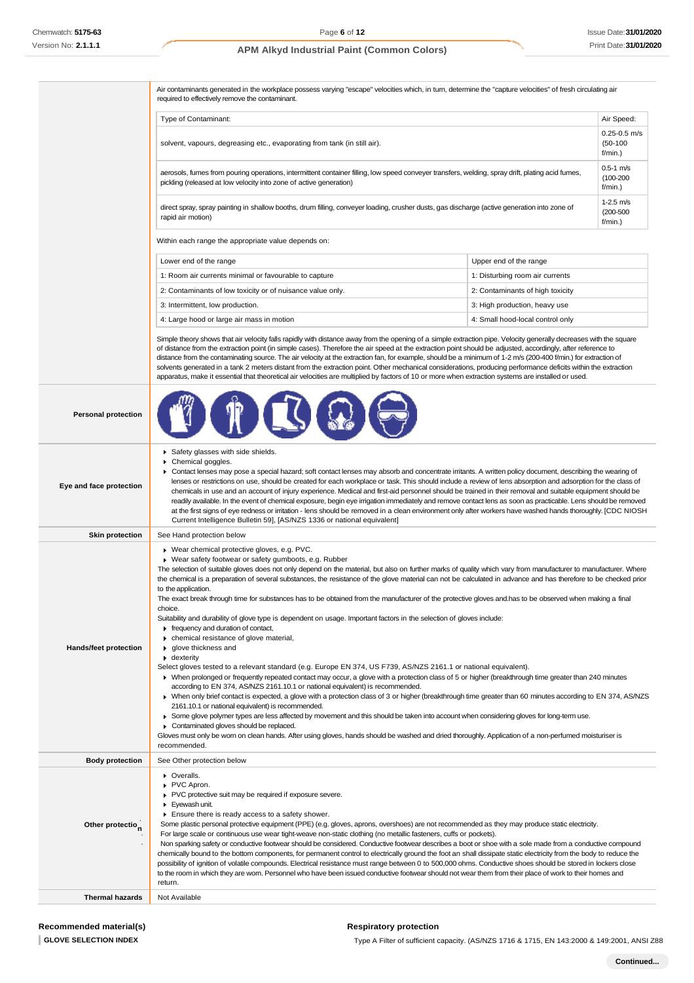| No: 2.1.1.1                  | <b>APM Alkyd Industrial Paint (Common Colors)</b>                                                                                                                                                                                                                                                                                                                                                                                                                                                                                                                                                                                                                                                                                                                                                                                                                                                                                                              |                                  | Print Date: 31/01/2                       |
|------------------------------|----------------------------------------------------------------------------------------------------------------------------------------------------------------------------------------------------------------------------------------------------------------------------------------------------------------------------------------------------------------------------------------------------------------------------------------------------------------------------------------------------------------------------------------------------------------------------------------------------------------------------------------------------------------------------------------------------------------------------------------------------------------------------------------------------------------------------------------------------------------------------------------------------------------------------------------------------------------|----------------------------------|-------------------------------------------|
|                              |                                                                                                                                                                                                                                                                                                                                                                                                                                                                                                                                                                                                                                                                                                                                                                                                                                                                                                                                                                |                                  |                                           |
|                              | Air contaminants generated in the workplace possess varying "escape" velocities which, in turn, determine the "capture velocities" of fresh circulating air<br>required to effectively remove the contaminant.                                                                                                                                                                                                                                                                                                                                                                                                                                                                                                                                                                                                                                                                                                                                                 |                                  |                                           |
|                              | Type of Contaminant:                                                                                                                                                                                                                                                                                                                                                                                                                                                                                                                                                                                                                                                                                                                                                                                                                                                                                                                                           |                                  | Air Speed:                                |
|                              | solvent, vapours, degreasing etc., evaporating from tank (in still air).                                                                                                                                                                                                                                                                                                                                                                                                                                                                                                                                                                                                                                                                                                                                                                                                                                                                                       |                                  | $0.25 - 0.5$ m/s<br>$(50-100)$<br>f/min.) |
|                              | aerosols, fumes from pouring operations, intermittent container filling, low speed conveyer transfers, welding, spray drift, plating acid fumes,<br>pickling (released at low velocity into zone of active generation)                                                                                                                                                                                                                                                                                                                                                                                                                                                                                                                                                                                                                                                                                                                                         |                                  | $0.5-1$ m/s<br>$(100 - 200)$<br>f/min.)   |
|                              | direct spray, spray painting in shallow booths, drum filling, conveyer loading, crusher dusts, gas discharge (active generation into zone of<br>rapid air motion)                                                                                                                                                                                                                                                                                                                                                                                                                                                                                                                                                                                                                                                                                                                                                                                              |                                  | $1-2.5$ m/s<br>$(200 - 500)$<br>f/min.)   |
|                              | Within each range the appropriate value depends on:                                                                                                                                                                                                                                                                                                                                                                                                                                                                                                                                                                                                                                                                                                                                                                                                                                                                                                            |                                  |                                           |
|                              | Lower end of the range                                                                                                                                                                                                                                                                                                                                                                                                                                                                                                                                                                                                                                                                                                                                                                                                                                                                                                                                         | Upper end of the range           |                                           |
|                              | 1: Room air currents minimal or favourable to capture                                                                                                                                                                                                                                                                                                                                                                                                                                                                                                                                                                                                                                                                                                                                                                                                                                                                                                          | 1: Disturbing room air currents  |                                           |
|                              | 2: Contaminants of low toxicity or of nuisance value only.                                                                                                                                                                                                                                                                                                                                                                                                                                                                                                                                                                                                                                                                                                                                                                                                                                                                                                     | 2: Contaminants of high toxicity |                                           |
|                              | 3: Intermittent, low production.                                                                                                                                                                                                                                                                                                                                                                                                                                                                                                                                                                                                                                                                                                                                                                                                                                                                                                                               | 3: High production, heavy use    |                                           |
|                              | 4: Large hood or large air mass in motion                                                                                                                                                                                                                                                                                                                                                                                                                                                                                                                                                                                                                                                                                                                                                                                                                                                                                                                      | 4: Small hood-local control only |                                           |
|                              | Simple theory shows that air velocity falls rapidly with distance away from the opening of a simple extraction pipe. Velocity generally decreases with the square<br>of distance from the extraction point (in simple cases). Therefore the air speed at the extraction point should be adjusted, accordingly, after reference to<br>distance from the contaminating source. The air velocity at the extraction fan, for example, should be a minimum of 1-2 m/s (200-400 f/min.) for extraction of<br>solvents generated in a tank 2 meters distant from the extraction point. Other mechanical considerations, producing performance deficits within the extraction<br>apparatus, make it essential that theoretical air velocities are multiplied by factors of 10 or more when extraction systems are installed or used.                                                                                                                                   |                                  |                                           |
| <b>Personal protection</b>   |                                                                                                                                                                                                                                                                                                                                                                                                                                                                                                                                                                                                                                                                                                                                                                                                                                                                                                                                                                |                                  |                                           |
| Eye and face protection      | Safety glasses with side shields.<br>▶ Chemical goggles.<br>▶ Contact lenses may pose a special hazard; soft contact lenses may absorb and concentrate irritants. A written policy document, describing the wearing of<br>lenses or restrictions on use, should be created for each workplace or task. This should include a review of lens absorption and adsorption for the class of<br>chemicals in use and an account of injury experience. Medical and first-aid personnel should be trained in their removal and suitable equipment should be<br>readily available. In the event of chemical exposure, begin eye irrigation immediately and remove contact lens as soon as practicable. Lens should be removed<br>at the first signs of eye redness or irritation - lens should be removed in a clean environment only after workers have washed hands thoroughly. [CDC NIOSH<br>Current Intelligence Bulletin 59], [AS/NZS 1336 or national equivalent] |                                  |                                           |
| <b>Skin protection</b>       | See Hand protection below                                                                                                                                                                                                                                                                                                                                                                                                                                                                                                                                                                                                                                                                                                                                                                                                                                                                                                                                      |                                  |                                           |
| <b>Hands/feet protection</b> | ▶ Wear chemical protective gloves, e.g. PVC.<br>Wear safety footwear or safety gumboots, e.g. Rubber<br>The selection of suitable gloves does not only depend on the material, but also on further marks of quality which vary from manufacturer to manufacturer. Where<br>the chemical is a preparation of several substances, the resistance of the glove material can not be calculated in advance and has therefore to be checked prior<br>to the application.<br>The exact break through time for substances has to be obtained from the manufacturer of the protective gloves and has to be observed when making a final<br>choice.<br>Suitability and durability of glove type is dependent on usage. Important factors in the selection of gloves include:<br>Frequency and duration of contact,<br>chemical resistance of glove material,<br>glove thickness and<br>$\bullet$ dexterity                                                               |                                  |                                           |
|                              | Select gloves tested to a relevant standard (e.g. Europe EN 374, US F739, AS/NZS 2161.1 or national equivalent).<br>• When prolonged or frequently repeated contact may occur, a glove with a protection class of 5 or higher (breakthrough time greater than 240 minutes<br>according to EN 374, AS/NZS 2161.10.1 or national equivalent) is recommended.<br>▶ When only brief contact is expected, a glove with a protection class of 3 or higher (breakthrough time greater than 60 minutes according to EN 374, AS/NZS<br>2161.10.1 or national equivalent) is recommended.<br>▶ Some glove polymer types are less affected by movement and this should be taken into account when considering gloves for long-term use.<br>Contaminated gloves should be replaced.<br>Gloves must only be wom on clean hands. After using gloves, hands should be washed and dried thoroughly. Application of a non-perfumed moisturiser is<br>recommended.               |                                  |                                           |
| <b>Body protection</b>       | See Other protection below                                                                                                                                                                                                                                                                                                                                                                                                                                                                                                                                                                                                                                                                                                                                                                                                                                                                                                                                     |                                  |                                           |
| Other protectio <sub>n</sub> | • Overalls.<br>▶ PVC Apron.<br>PVC protective suit may be required if exposure severe.<br>Eyewash unit.<br>Ensure there is ready access to a safety shower.<br>Some plastic personal protective equipment (PPE) (e.g. gloves, aprons, overshoes) are not recommended as they may produce static electricity.                                                                                                                                                                                                                                                                                                                                                                                                                                                                                                                                                                                                                                                   |                                  |                                           |

**n** · · For large scale or continuous use wear tight-weave non-static clothing (no metallic fasteners, cuffs or pockets). Non sparking safety or conductive footwear should be considered. Conductive footwear describes a boot or shoe with a sole made from a conductive compound chemically bound to the bottom components, for permanent control to electrically ground the foot an shall dissipate static electricity from the body to reduce the possibility of ignition of volatile compounds. Electrical resistance must range between 0 to 500,000 ohms. Conductive shoes should be stored in lockers close to the room in which they are worn. Personnel who have been issued conductive footwear should not wear them from their place of work to their homes and return. **Thermal hazards** Not Available

### **Respiratory protection**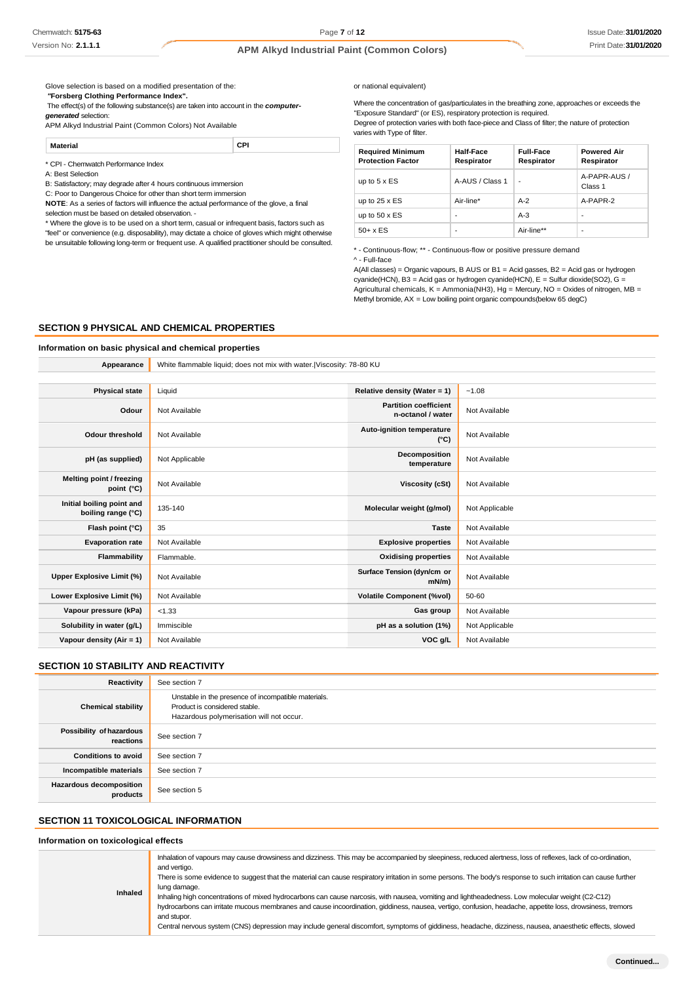Glove selection is based on a modified presentation of the:

*"***Forsberg Clothing Performance Index".**

The effect(s) of the following substance(s) are taken into account in the *computergenerated* selection:

APM Alkyd Industrial Paint (Common Colors) Not Available

**Material CPI**

\* CPI - Chemwatch Performance Index

A: Best Selection

B: Satisfactory; may degrade after 4 hours continuous immersion

C: Poor to Dangerous Choice for other than short term immersion **NOTE**: As a series of factors will influence the actual performance of the glove, a final

selection must be based on detailed observation. -

\* Where the glove is to be used on a short term, casual or infrequent basis, factors such as "feel" or convenience (e.g. disposability), may dictate a choice of gloves which might otherwise be unsuitable following long-term or frequent use. A qualified practitioner should be consulted.

#### or national equivalent)

Where the concentration of gas/particulates in the breathing zone, approaches or exceeds the "Exposure Standard" (or ES), respiratory protection is required.

Degree of protection varies with both face-piece and Class of filter; the nature of protection varies with Type of filter.

| <b>Required Minimum</b><br><b>Protection Factor</b> | Half-Face<br>Respirator | <b>Full-Face</b><br>Respirator | <b>Powered Air</b><br>Respirator |
|-----------------------------------------------------|-------------------------|--------------------------------|----------------------------------|
| up to $5 \times ES$                                 | A-AUS / Class 1         | ٠                              | A-PAPR-AUS /<br>Class 1          |
| up to $25 \times ES$                                | Air-line*               | $A-2$                          | A-PAPR-2                         |
| up to $50 \times ES$                                | ٠                       | $A-3$                          | ٠                                |
| $50+ x ES$                                          | ٠                       | Air-line**                     | ٠                                |

\* - Continuous-flow; \*\* - Continuous-flow or positive pressure demand

^ - Full-face

A(All classes) = Organic vapours, B AUS or B1 = Acid gasses, B2 = Acid gas or hydrogen cyanide(HCN), B3 = Acid gas or hydrogen cyanide(HCN), E = Sulfur dioxide(SO2), G = Agricultural chemicals, K = Ammonia(NH3), Hg = Mercury, NO = Oxides of nitrogen, MB = Methyl bromide, AX = Low boiling point organic compounds(below 65 degC)

## **SECTION 9 PHYSICAL AND CHEMICAL PROPERTIES**

### **Information on basic physical and chemical properties**

**Appearance** White flammable liquid; does not mix with water.|Viscosity: 78-80 KU

| <b>Physical state</b>                           | Liquid         | Relative density (Water = 1)                      | $-1.08$        |
|-------------------------------------------------|----------------|---------------------------------------------------|----------------|
| Odour                                           | Not Available  | <b>Partition coefficient</b><br>n-octanol / water | Not Available  |
| <b>Odour threshold</b>                          | Not Available  | Auto-ignition temperature<br>$(^{\circ}C)$        | Not Available  |
| pH (as supplied)                                | Not Applicable | Decomposition<br>temperature                      | Not Available  |
| Melting point / freezing<br>point (°C)          | Not Available  | Viscosity (cSt)                                   | Not Available  |
| Initial boiling point and<br>boiling range (°C) | 135-140        | Molecular weight (g/mol)                          | Not Applicable |
| Flash point (°C)                                | 35             | <b>Taste</b>                                      | Not Available  |
| <b>Evaporation rate</b>                         | Not Available  | <b>Explosive properties</b>                       | Not Available  |
| Flammability                                    | Flammable.     | <b>Oxidising properties</b>                       | Not Available  |
| Upper Explosive Limit (%)                       | Not Available  | Surface Tension (dyn/cm or<br>$mN/m$ )            | Not Available  |
| Lower Explosive Limit (%)                       | Not Available  | <b>Volatile Component (%vol)</b>                  | 50-60          |
| Vapour pressure (kPa)                           | < 1.33         | Gas group                                         | Not Available  |
| Solubility in water (g/L)                       | Immiscible     | pH as a solution (1%)                             | Not Applicable |
| Vapour density (Air = 1)                        | Not Available  | VOC g/L                                           | Not Available  |

### **SECTION 10 STABILITY AND REACTIVITY**

| Reactivity                            | See section 7                                                                                                                    |
|---------------------------------------|----------------------------------------------------------------------------------------------------------------------------------|
| <b>Chemical stability</b>             | Unstable in the presence of incompatible materials.<br>Product is considered stable.<br>Hazardous polymerisation will not occur. |
| Possibility of hazardous<br>reactions | See section 7                                                                                                                    |
| <b>Conditions to avoid</b>            | See section 7                                                                                                                    |
| Incompatible materials                | See section 7                                                                                                                    |
| Hazardous decomposition<br>products   | See section 5                                                                                                                    |

## **SECTION 11 TOXICOLOGICAL INFORMATION**

### **Information on toxicological effects**

| <b>Inhaled</b> | Inhalation of vapours may cause drowsiness and dizziness. This may be accompanied by sleepiness, reduced alertness, loss of reflexes, lack of co-ordination,<br>and vertigo.<br>There is some evidence to suggest that the material can cause respiratory irritation in some persons. The body's response to such irritation can cause further<br>lung damage.<br>Inhaling high concentrations of mixed hydrocarbons can cause narcosis, with nausea, vomiting and lightheadedness. Low molecular weight (C2-C12)<br>hydrocarbons can irritate mucous membranes and cause incoordination, giddiness, nausea, vertigo, confusion, headache, appetite loss, drowsiness, tremors<br>and stupor. |
|----------------|----------------------------------------------------------------------------------------------------------------------------------------------------------------------------------------------------------------------------------------------------------------------------------------------------------------------------------------------------------------------------------------------------------------------------------------------------------------------------------------------------------------------------------------------------------------------------------------------------------------------------------------------------------------------------------------------|
|                | Central nervous system (CNS) depression may include general discomfort, symptoms of giddiness, headache, dizziness, nausea, anaesthetic effects, slowed                                                                                                                                                                                                                                                                                                                                                                                                                                                                                                                                      |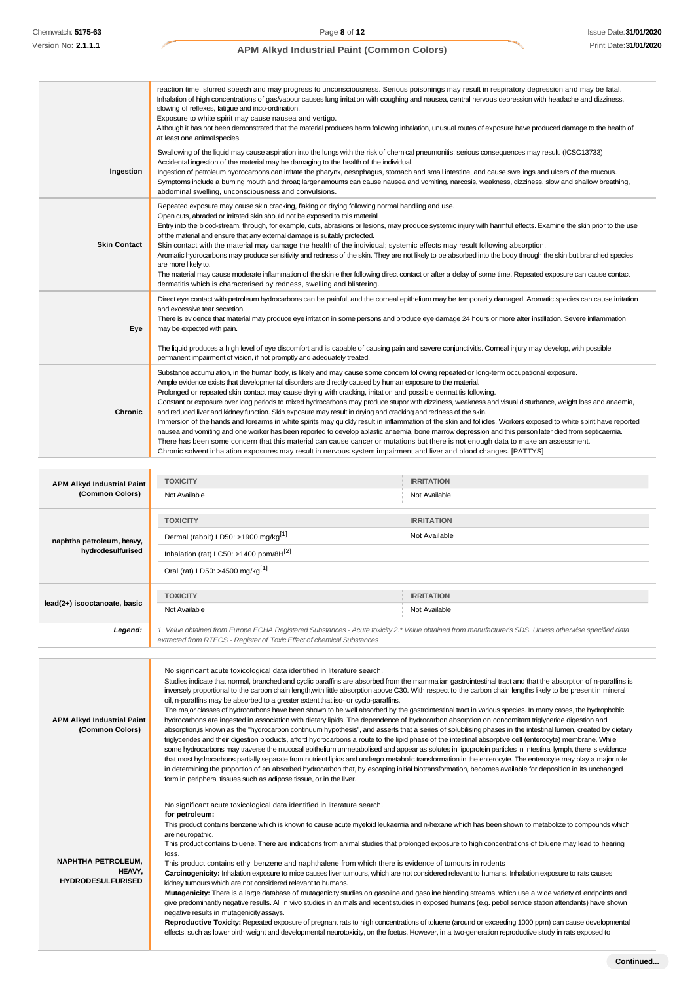|                                   | reaction time, slurred speech and may progress to unconsciousness. Serious poisonings may result in respiratory depression and may be fatal.<br>Inhalation of high concentrations of gas/vapour causes lung irritation with coughing and nausea, central nervous depression with headache and dizziness,<br>slowing of reflexes, fatigue and inco-ordination.<br>Exposure to white spirit may cause nausea and vertigo.<br>Although it has not been demonstrated that the material produces harm following inhalation, unusual routes of exposure have produced damage to the health of<br>at least one animal species.                                                                                                                                                                                                                                                                                                                                                                                                                                                                                                                                                                                                                       |                                                                                                                                                              |  |  |
|-----------------------------------|-----------------------------------------------------------------------------------------------------------------------------------------------------------------------------------------------------------------------------------------------------------------------------------------------------------------------------------------------------------------------------------------------------------------------------------------------------------------------------------------------------------------------------------------------------------------------------------------------------------------------------------------------------------------------------------------------------------------------------------------------------------------------------------------------------------------------------------------------------------------------------------------------------------------------------------------------------------------------------------------------------------------------------------------------------------------------------------------------------------------------------------------------------------------------------------------------------------------------------------------------|--------------------------------------------------------------------------------------------------------------------------------------------------------------|--|--|
| Ingestion                         | Swallowing of the liquid may cause aspiration into the lungs with the risk of chemical pneumonitis; serious consequences may result. (ICSC13733)<br>Accidental ingestion of the material may be damaging to the health of the individual.<br>Ingestion of petroleum hydrocarbons can irritate the pharynx, oesophagus, stomach and small intestine, and cause swellings and ulcers of the mucous.<br>Symptoms include a buming mouth and throat; larger amounts can cause nausea and vomiting, narcosis, weakness, dizziness, slow and shallow breathing,<br>abdominal swelling, unconsciousness and convulsions.                                                                                                                                                                                                                                                                                                                                                                                                                                                                                                                                                                                                                             |                                                                                                                                                              |  |  |
| <b>Skin Contact</b>               | Repeated exposure may cause skin cracking, flaking or drying following normal handling and use.<br>Open cuts, abraded or irritated skin should not be exposed to this material<br>Entry into the blood-stream, through, for example, cuts, abrasions or lesions, may produce systemic injury with harmful effects. Examine the skin prior to the use<br>of the material and ensure that any external damage is suitably protected.<br>Skin contact with the material may damage the health of the individual; systemic effects may result following absorption.<br>Aromatic hydrocarbons may produce sensitivity and redness of the skin. They are not likely to be absorbed into the body through the skin but branched species<br>are more likely to.<br>The material may cause moderate inflammation of the skin either following direct contact or after a delay of some time. Repeated exposure can cause contact<br>dermatitis which is characterised by redness, swelling and blistering.                                                                                                                                                                                                                                              |                                                                                                                                                              |  |  |
| Eye                               | Direct eye contact with petroleum hydrocarbons can be painful, and the corneal epithelium may be temporarily damaged. Aromatic species can cause irritation<br>and excessive tear secretion.<br>There is evidence that material may produce eye irritation in some persons and produce eye damage 24 hours or more after instillation. Severe inflammation<br>may be expected with pain.<br>The liquid produces a high level of eye discomfort and is capable of causing pain and severe conjunctivitis. Comeal injury may develop, with possible<br>permanent impairment of vision, if not promptly and adequately treated.                                                                                                                                                                                                                                                                                                                                                                                                                                                                                                                                                                                                                  |                                                                                                                                                              |  |  |
| Chronic                           | Substance accumulation, in the human body, is likely and may cause some concem following repeated or long-term occupational exposure.<br>Ample evidence exists that developmental disorders are directly caused by human exposure to the material.<br>Prolonged or repeated skin contact may cause drying with cracking, irritation and possible dermatitis following.<br>Constant or exposure over long periods to mixed hydrocarbons may produce stupor with dizziness, weakness and visual disturbance, weight loss and anaemia,<br>and reduced liver and kidney function. Skin exposure may result in drying and cracking and redness of the skin.<br>Immersion of the hands and forearms in white spirits may quickly result in inflammation of the skin and follicles. Workers exposed to white spirit have reported<br>nausea and vomiting and one worker has been reported to develop aplastic anaemia, bone marrow depression and this person later died from septicaemia.<br>There has been some concern that this material can cause cancer or mutations but there is not enough data to make an assessment.<br>Chronic solvent inhalation exposures may result in nervous system impairment and liver and blood changes. [PATTYS] |                                                                                                                                                              |  |  |
|                                   |                                                                                                                                                                                                                                                                                                                                                                                                                                                                                                                                                                                                                                                                                                                                                                                                                                                                                                                                                                                                                                                                                                                                                                                                                                               |                                                                                                                                                              |  |  |
| <b>APM Alkyd Industrial Paint</b> | <b>TOXICITY</b>                                                                                                                                                                                                                                                                                                                                                                                                                                                                                                                                                                                                                                                                                                                                                                                                                                                                                                                                                                                                                                                                                                                                                                                                                               | <b>IRRITATION</b>                                                                                                                                            |  |  |
| (Common Colors)                   | Not Available                                                                                                                                                                                                                                                                                                                                                                                                                                                                                                                                                                                                                                                                                                                                                                                                                                                                                                                                                                                                                                                                                                                                                                                                                                 | Not Available                                                                                                                                                |  |  |
|                                   | <b>TOXICITY</b>                                                                                                                                                                                                                                                                                                                                                                                                                                                                                                                                                                                                                                                                                                                                                                                                                                                                                                                                                                                                                                                                                                                                                                                                                               | <b>IRRITATION</b>                                                                                                                                            |  |  |
| naphtha petroleum, heavy,         | Dermal (rabbit) LD50: >1900 mg/kg <sup>[1]</sup>                                                                                                                                                                                                                                                                                                                                                                                                                                                                                                                                                                                                                                                                                                                                                                                                                                                                                                                                                                                                                                                                                                                                                                                              | Not Available                                                                                                                                                |  |  |
| hydrodesulfurised                 | Inhalation (rat) LC50: >1400 ppm/8H[2]                                                                                                                                                                                                                                                                                                                                                                                                                                                                                                                                                                                                                                                                                                                                                                                                                                                                                                                                                                                                                                                                                                                                                                                                        |                                                                                                                                                              |  |  |
|                                   | Oral (rat) LD50: >4500 mg/kg <sup>[1]</sup>                                                                                                                                                                                                                                                                                                                                                                                                                                                                                                                                                                                                                                                                                                                                                                                                                                                                                                                                                                                                                                                                                                                                                                                                   |                                                                                                                                                              |  |  |
|                                   | <b>TOXICITY</b>                                                                                                                                                                                                                                                                                                                                                                                                                                                                                                                                                                                                                                                                                                                                                                                                                                                                                                                                                                                                                                                                                                                                                                                                                               | <b>IRRITATION</b>                                                                                                                                            |  |  |
| lead(2+) isooctanoate, basic      | Not Available                                                                                                                                                                                                                                                                                                                                                                                                                                                                                                                                                                                                                                                                                                                                                                                                                                                                                                                                                                                                                                                                                                                                                                                                                                 | Not Available                                                                                                                                                |  |  |
| Legend:                           | 1. Value obtained from Europe ECHA Registered Substances - Acute toxicity 2.* Value obtained from manufacturer's SDS. Unless otherwise specified data<br>extracted from RTECS - Register of Toxic Effect of chemical Substances                                                                                                                                                                                                                                                                                                                                                                                                                                                                                                                                                                                                                                                                                                                                                                                                                                                                                                                                                                                                               |                                                                                                                                                              |  |  |
|                                   |                                                                                                                                                                                                                                                                                                                                                                                                                                                                                                                                                                                                                                                                                                                                                                                                                                                                                                                                                                                                                                                                                                                                                                                                                                               |                                                                                                                                                              |  |  |
|                                   | No significant acute toxicological data identified in literature search.<br>inversely proportional to the carbon chain length, with little absorption above C30. With respect to the carbon chain lengths likely to be present in mineral                                                                                                                                                                                                                                                                                                                                                                                                                                                                                                                                                                                                                                                                                                                                                                                                                                                                                                                                                                                                     | Studies indicate that normal, branched and cyclic paraffins are absorbed from the mammalian gastrointestinal tract and that the absorption of n-paraffins is |  |  |

**APM Alkyd Industrial Paint (Common Colors)**

oil, n-paraffins may be absorbed to a greater extent that iso- or cyclo-paraffins. The major classes of hydrocarbons have been shown to be well absorbed by the gastrointestinal tract in various species. In many cases, the hydrophobic hydrocarbons are ingested in association with dietary lipids. The dependence of hydrocarbon absorption on concomitant triglyceride digestion and absorption,is known as the "hydrocarbon continuum hypothesis", and asserts that a series of solubilising phases in the intestinal lumen, created by dietary triglycerides and their digestion products, afford hydrocarbons a route to the lipid phase of the intestinal absorptive cell (enterocyte) membrane. While some hydrocarbons may traverse the mucosal epithelium unmetabolised and appear as solutes in lipoprotein particles in intestinal lymph, there is evidence that most hydrocarbons partially separate from nutrient lipids and undergo metabolic transformation in the enterocyte. The enterocyte may play a major role in determining the proportion of an absorbed hydrocarbon that, by escaping initial biotransformation, becomes available for deposition in its unchanged form in peripheral tissues such as adipose tissue, or in the liver.

| <b>NAPHTHA PETROLEUM,</b><br>HEAVY.<br><b>HYDRODESULFURISED</b> | No significant acute toxicological data identified in literature search.<br>for petroleum:<br>This product contains benzene which is known to cause acute myeloid leukaemia and n-hexane which has been shown to metabolize to compounds which<br>are neuropathic.<br>This product contains toluene. There are indications from animal studies that prolonged exposure to high concentrations of toluene may lead to hearing<br>loss.<br>This product contains ethyl benzene and naphthalene from which there is evidence of tumours in rodents<br>Carcinogenicity: Inhalation exposure to mice causes liver tumours, which are not considered relevant to humans. Inhalation exposure to rats causes<br>kidney tumours which are not considered relevant to humans.<br>Mutagenicity: There is a large database of mutagenicity studies on gasoline and gasoline blending streams, which use a wide variety of endpoints and<br>give predominantly negative results. All in vivo studies in animals and recent studies in exposed humans (e.g. petrol service station attendants) have shown<br>negative results in mutagenicity assays.<br>Reproductive Toxicity: Repeated exposure of pregnant rats to high concentrations of toluene (around or exceeding 1000 ppm) can cause developmental<br>effects, such as lower birth weight and developmental neurotoxicity, on the foetus. However, in a two-generation reproductive study in rats exposed to |
|-----------------------------------------------------------------|----------------------------------------------------------------------------------------------------------------------------------------------------------------------------------------------------------------------------------------------------------------------------------------------------------------------------------------------------------------------------------------------------------------------------------------------------------------------------------------------------------------------------------------------------------------------------------------------------------------------------------------------------------------------------------------------------------------------------------------------------------------------------------------------------------------------------------------------------------------------------------------------------------------------------------------------------------------------------------------------------------------------------------------------------------------------------------------------------------------------------------------------------------------------------------------------------------------------------------------------------------------------------------------------------------------------------------------------------------------------------------------------------------------------------------------------------------|
|-----------------------------------------------------------------|----------------------------------------------------------------------------------------------------------------------------------------------------------------------------------------------------------------------------------------------------------------------------------------------------------------------------------------------------------------------------------------------------------------------------------------------------------------------------------------------------------------------------------------------------------------------------------------------------------------------------------------------------------------------------------------------------------------------------------------------------------------------------------------------------------------------------------------------------------------------------------------------------------------------------------------------------------------------------------------------------------------------------------------------------------------------------------------------------------------------------------------------------------------------------------------------------------------------------------------------------------------------------------------------------------------------------------------------------------------------------------------------------------------------------------------------------------|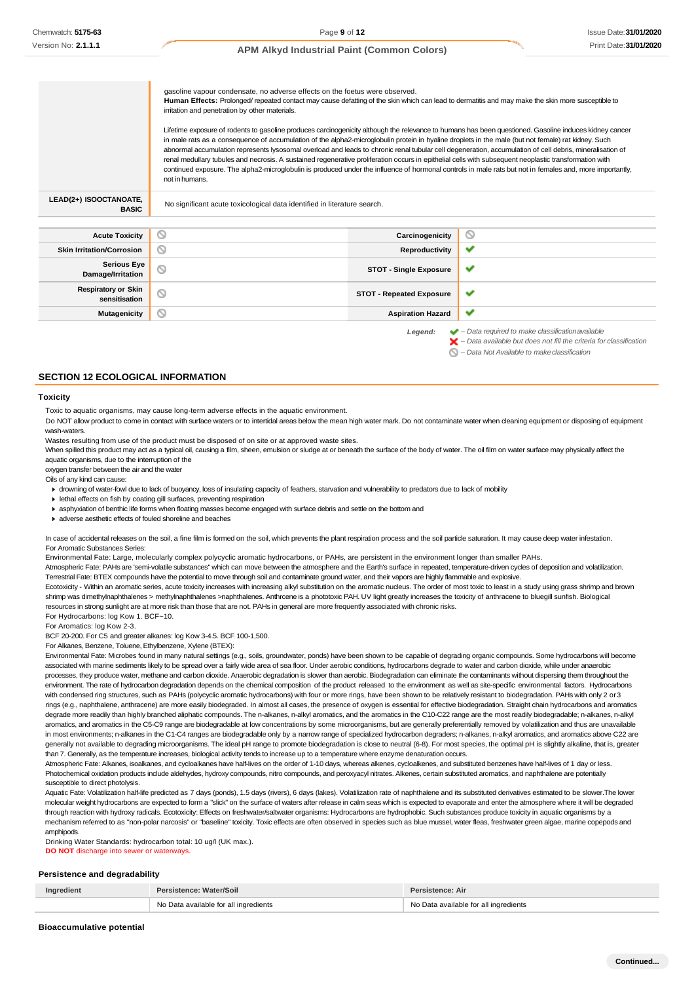|                                             | gasoline vapour condensate, no adverse effects on the foetus were observed.<br>Human Effects: Prolonged/ repeated contact may cause defatting of the skin which can lead to dermatitis and may make the skin more susceptible to<br>irritation and penetration by other materials.<br>Lifetime exposure of rodents to gasoline produces carcinogenicity although the relevance to humans has been questioned. Gasoline induces kidney cancer<br>in male rats as a consequence of accumulation of the alpha2-microglobulin protein in hyaline droplets in the male (but not female) rat kidney. Such<br>abnormal accumulation represents lysosomal overload and leads to chronic renal tubular cell degeneration, accumulation of cell debris, mineralisation of<br>renal medullary tubules and necrosis. A sustained regenerative proliferation occurs in epithelial cells with subsequent neoplastic transformation with<br>continued exposure. The alpha2-microglobulin is produced under the influence of hormonal controls in male rats but not in females and, more importantly,<br>not in humans. |                                 |                                                                                                                                                                    |
|---------------------------------------------|---------------------------------------------------------------------------------------------------------------------------------------------------------------------------------------------------------------------------------------------------------------------------------------------------------------------------------------------------------------------------------------------------------------------------------------------------------------------------------------------------------------------------------------------------------------------------------------------------------------------------------------------------------------------------------------------------------------------------------------------------------------------------------------------------------------------------------------------------------------------------------------------------------------------------------------------------------------------------------------------------------------------------------------------------------------------------------------------------------|---------------------------------|--------------------------------------------------------------------------------------------------------------------------------------------------------------------|
| LEAD(2+) ISOOCTANOATE,<br><b>BASIC</b>      | No significant acute toxicological data identified in literature search.                                                                                                                                                                                                                                                                                                                                                                                                                                                                                                                                                                                                                                                                                                                                                                                                                                                                                                                                                                                                                                |                                 |                                                                                                                                                                    |
|                                             |                                                                                                                                                                                                                                                                                                                                                                                                                                                                                                                                                                                                                                                                                                                                                                                                                                                                                                                                                                                                                                                                                                         |                                 |                                                                                                                                                                    |
| <b>Acute Toxicity</b>                       | ⊚                                                                                                                                                                                                                                                                                                                                                                                                                                                                                                                                                                                                                                                                                                                                                                                                                                                                                                                                                                                                                                                                                                       | Carcinogenicity                 | Ø                                                                                                                                                                  |
| <b>Skin Irritation/Corrosion</b>            | Ø                                                                                                                                                                                                                                                                                                                                                                                                                                                                                                                                                                                                                                                                                                                                                                                                                                                                                                                                                                                                                                                                                                       | Reproductivity                  | ✓                                                                                                                                                                  |
| <b>Serious Eye</b><br>Damage/Irritation     | ര                                                                                                                                                                                                                                                                                                                                                                                                                                                                                                                                                                                                                                                                                                                                                                                                                                                                                                                                                                                                                                                                                                       | <b>STOT - Single Exposure</b>   | ັ                                                                                                                                                                  |
| <b>Respiratory or Skin</b><br>sensitisation | Q                                                                                                                                                                                                                                                                                                                                                                                                                                                                                                                                                                                                                                                                                                                                                                                                                                                                                                                                                                                                                                                                                                       | <b>STOT - Repeated Exposure</b> | ✔                                                                                                                                                                  |
| <b>Mutagenicity</b>                         | Ø                                                                                                                                                                                                                                                                                                                                                                                                                                                                                                                                                                                                                                                                                                                                                                                                                                                                                                                                                                                                                                                                                                       | <b>Aspiration Hazard</b>        | ✓                                                                                                                                                                  |
|                                             |                                                                                                                                                                                                                                                                                                                                                                                                                                                                                                                                                                                                                                                                                                                                                                                                                                                                                                                                                                                                                                                                                                         | Legend:                         | $\blacktriangleright$ - Data required to make classification available<br>$\blacktriangleright$ - Data available but does not fill the criteria for classification |

*– Data Not Available to makeclassification*

### **SECTION 12 ECOLOGICAL INFORMATION**

### **Toxicity**

Toxic to aquatic organisms, may cause long-term adverse effects in the aquatic environment.

Do NOT allow product to come in contact with surface waters or to intertidal areas below the mean high water mark. Do not contaminate water when cleaning equipment or disposing of equipment wash-waters.

Wastes resulting from use of the product must be disposed of on site or at approved waste sites.

When spilled this product may act as a typical oil, causing a film, sheen, emulsion or sludge at or beneath the surface of the body of water. The oil film on water surface may physically affect the aquatic organisms, due to the interruption of the

oxygen transfer between the air and the wate

Oils of any kind can cause:

- drowning of water-fowl due to lack of buoyancy, loss of insulating capacity of feathers, starvation and vulnerability to predators due to lack of mobility
- **I** lethal effects on fish by coating gill surfaces, preventing respiration
- asphyxiation of benthic life forms when floating masses become engaged with surface debris and settle on the bottom and
- adverse aesthetic effects of fouled shoreline and beaches

In case of accidental releases on the soil, a fine film is formed on the soil, which prevents the plant respiration process and the soil particle saturation. It may cause deep water infestation. For Aromatic Substances Series:

Environmental Fate: Large, molecularly complex polycyclic aromatic hydrocarbons, or PAHs, are persistent in the environment longer than smaller PAHs. Atmospheric Fate: PAHs are 'semi-volatile substances" which can move between the atmosphere and the Earth's surface in repeated, temperature-driven cycles of deposition and volatilization. Terrestrial Fate: BTEX compounds have the potential to move through soil and contaminate ground water, and their vapors are highly flammable and explosive.

Ecotoxicity - Within an aromatic series, acute toxicity increases with increasing alkyl substitution on the aromatic nucleus. The order of most toxic to least in a study using grass shrimp and brown shrimp was dimethylnaphthalenes > methylnaphthalenes >naphthalenes. Anthrcene is a phototoxic PAH. UV light greatly increases the toxicity of anthracene to bluegill sunfish. Biological resources in strong sunlight are at more risk than those that are not. PAHs in general are more frequently associated with chronic risks. For Hydrocarbons: log Kow 1. BCF~10.

For Aromatics: log Kow 2-3.

BCF 20-200. For C5 and greater alkanes: log Kow 3-4.5. BCF 100-1,500.

For Alkanes, Benzene, Toluene, Ethylbenzene, Xylene (BTEX):

Environmental Fate: Microbes found in many natural settings (e.g., soils, groundwater, ponds) have been shown to be capable of degrading organic compounds. Some hydrocarbons will become associated with marine sediments likely to be spread over a fairly wide area of sea floor. Under aerobic conditions, hydrocarbons degrade to water and carbon dioxide, while under anaerobic processes, they produce water, methane and carbon dioxide. Anaerobic degradation is slower than aerobic. Biodegradation can eliminate the contaminants without dispersing them throughout the environment. The rate of hydrocarbon degradation depends on the chemical composition of the product released to the environment as well as site-specific environmental factors. Hydrocarbons with condensed ring structures, such as PAHs (polycyclic aromatic hydrocarbons) with four or more rings, have been shown to be relatively resistant to biodegradation. PAHs with only 2 or 3 rings (e.g., naphthalene, anthracene) are more easily biodegraded. In almost all cases, the presence of oxygen is essential for effective biodegradation. Straight chain hydrocarbons and aromatics degrade more readily than highly branched aliphatic compounds. The n-alkanes, n-alkyl aromatics, and the aromatics in the C10-C22 range are the most readily biodegradable; n-alkanes, n-alkyl aromatics, and aromatics in the C5-C9 range are biodegradable at low concentrations by some microorganisms, but are generally preferentially removed by volatilization and thus are unavailable in most environments; n-alkanes in the C1-C4 ranges are biodegradable only by a narrow range of specialized hydrocarbon degraders; n-alkanes, n-alkyl aromatics, and aromatics above C22 are generally not available to degrading microorganisms. The ideal pH range to promote biodegradation is close to neutral (6-8). For most species, the optimal pH is slightly alkaline, that is, greater than 7. Generally, as the temperature increases, biological activity tends to increase up to a temperature where enzyme denaturation occurs.

Atmospheric Fate: Alkanes, isoalkanes, and cycloalkanes have half-lives on the order of 1-10 days, whereas alkenes, cycloalkenes, and substituted benzenes have half-lives of 1 day or less. Photochemical oxidation products include aldehydes, hydroxy compounds, nitro compounds, and peroxyacyl nitrates. Alkenes, certain substituted aromatics, and naphthalene are potentially susceptible to direct photolysis.

Aquatic Fate: Volatilization half-life predicted as 7 days (ponds), 1.5 days (rivers), 6 days (lakes). Volatilization rate of naphthalene and its substituted derivatives estimated to be slower. The lower molecular weight hydrocarbons are expected to form a "slick" on the surface of waters after release in calm seas which is expected to evaporate and enter the atmosphere where it will be degraded through reaction with hydroxy radicals. Ecotoxicity: Effects on freshwater/saltwater organisms: Hydrocarbons are hydrophobic. Such substances produce toxicity in aquatic organisms by a mechanism referred to as "non-polar narcosis" or "baseline" toxicity. Toxic effects are often observed in species such as blue mussel, water fleas, freshwater green algae, marine copepods and amphipods.

Drinking Water Standards: hydrocarbon total: 10 ug/l (UK max.). **DO NOT** discharge into sewer or waterways

### **Persistence and degradability**

| Ingredient | : Water/Soil<br>Persistence:          | sistence: Air                              |
|------------|---------------------------------------|--------------------------------------------|
|            | No Data available for all ingredients | No Data available for all ingredients<br>. |

**Bioaccumulative potential**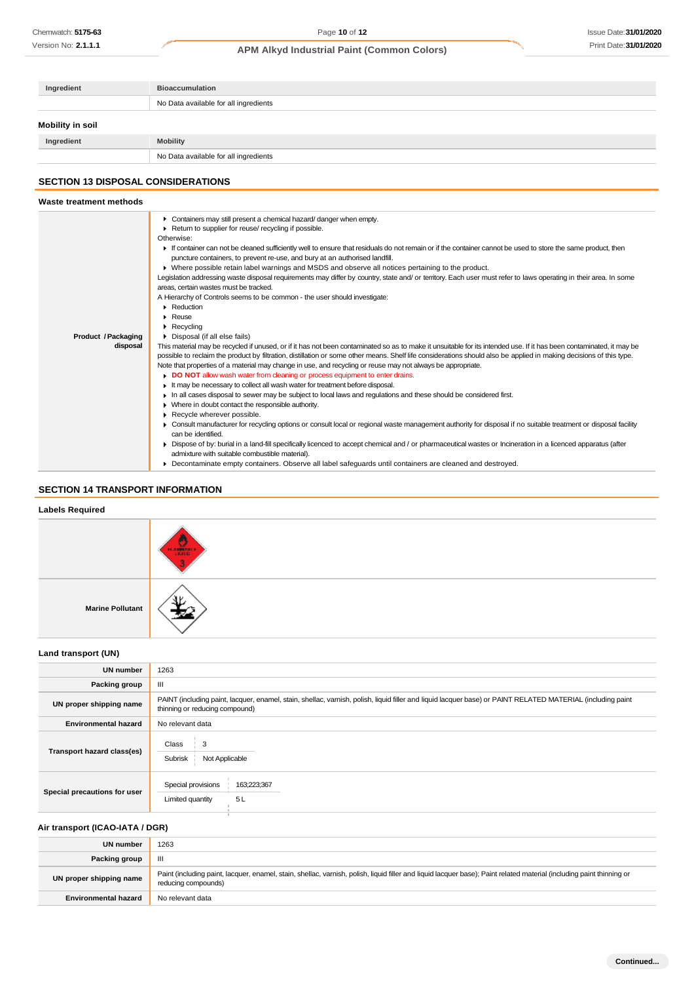| Ingredient       | <b>Bioaccumulation</b>                |  |  |
|------------------|---------------------------------------|--|--|
|                  | No Data available for all ingredients |  |  |
| Mobility in soil |                                       |  |  |
| Ingredient       | <b>Mobility</b>                       |  |  |
|                  | No Data available for all ingredients |  |  |

# **SECTION 13 DISPOSAL CONSIDERATIONS**

| Waste treatment methods         |                                                                                                                                                                                                                                                                                                                                                                                                                                                                                                                                                                                                                                                                                                                                                                                                                                                                                                                                                                                                                                                                                                                                                                                                                                                                                                                                                                                                                                                                                                                                                                                                                                                                                                                                                                                                                                                                                                                                                                                                                                                                                                                                                                                                                                                                                         |
|---------------------------------|-----------------------------------------------------------------------------------------------------------------------------------------------------------------------------------------------------------------------------------------------------------------------------------------------------------------------------------------------------------------------------------------------------------------------------------------------------------------------------------------------------------------------------------------------------------------------------------------------------------------------------------------------------------------------------------------------------------------------------------------------------------------------------------------------------------------------------------------------------------------------------------------------------------------------------------------------------------------------------------------------------------------------------------------------------------------------------------------------------------------------------------------------------------------------------------------------------------------------------------------------------------------------------------------------------------------------------------------------------------------------------------------------------------------------------------------------------------------------------------------------------------------------------------------------------------------------------------------------------------------------------------------------------------------------------------------------------------------------------------------------------------------------------------------------------------------------------------------------------------------------------------------------------------------------------------------------------------------------------------------------------------------------------------------------------------------------------------------------------------------------------------------------------------------------------------------------------------------------------------------------------------------------------------------|
| Product / Packaging<br>disposal | Containers may still present a chemical hazard/danger when empty.<br>Return to supplier for reuse/ recycling if possible.<br>Otherwise:<br>If container can not be cleaned sufficiently well to ensure that residuals do not remain or if the container cannot be used to store the same product, then<br>puncture containers, to prevent re-use, and bury at an authorised landfill.<br>▶ Where possible retain label warnings and MSDS and observe all notices pertaining to the product.<br>Legislation addressing waste disposal requirements may differ by country, state and/ or territory. Each user must refer to laws operating in their area. In some<br>areas, certain wastes must be tracked.<br>A Hierarchy of Controls seems to be common - the user should investigate:<br>$\blacktriangleright$ Reduction<br>$\triangleright$ Reuse<br>$\blacktriangleright$ Recycling<br>Disposal (if all else fails)<br>This material may be recycled if unused, or if it has not been contaminated so as to make it unsuitable for its intended use. If it has been contaminated, it may be<br>possible to reclaim the product by filtration, distillation or some other means. Shelf life considerations should also be applied in making decisions of this type.<br>Note that properties of a material may change in use, and recycling or reuse may not always be appropriate.<br>DO NOT allow wash water from cleaning or process equipment to enter drains.<br>It may be necessary to collect all wash water for treatment before disposal.<br>In all cases disposal to sewer may be subject to local laws and requlations and these should be considered first.<br>• Where in doubt contact the responsible authority.<br>Recycle wherever possible.<br>• Consult manufacturer for recycling options or consult local or regional waste management authority for disposal if no suitable treatment or disposal facility<br>can be identified.<br>▶ Dispose of by: burial in a land-fill specifically licenced to accept chemical and / or pharmaceutical wastes or Incineration in a licenced apparatus (after<br>admixture with suitable combustible material).<br>• Decontaminate empty containers. Observe all label safequards until containers are cleaned and destroyed. |
|                                 |                                                                                                                                                                                                                                                                                                                                                                                                                                                                                                                                                                                                                                                                                                                                                                                                                                                                                                                                                                                                                                                                                                                                                                                                                                                                                                                                                                                                                                                                                                                                                                                                                                                                                                                                                                                                                                                                                                                                                                                                                                                                                                                                                                                                                                                                                         |

# **SECTION 14 TRANSPORT INFORMATION**

## **Labels Required**

|                         | <b>HANGER</b> |
|-------------------------|---------------|
| <b>Marine Pollutant</b> |               |

## **Land transport (UN)**

| <b>UN number</b>             | 1263                                                                                                                                                                                          |  |  |
|------------------------------|-----------------------------------------------------------------------------------------------------------------------------------------------------------------------------------------------|--|--|
| Packing group                | Ш                                                                                                                                                                                             |  |  |
| UN proper shipping name      | PAINT (including paint, lacquer, enamel, stain, shellac, varnish, polish, liquid filler and liquid lacquer base) or PAINT RELATED MATERIAL (including paint<br>thinning or reducing compound) |  |  |
| <b>Environmental hazard</b>  | No relevant data                                                                                                                                                                              |  |  |
| Transport hazard class(es)   | Class<br>$\frac{1}{2}$ 3<br>Subrisk<br>Not Applicable                                                                                                                                         |  |  |
| Special precautions for user | Special provisions<br>163;223;367<br>5L<br>Limited quantity                                                                                                                                   |  |  |

# **Air transport (ICAO-IATA / DGR)**

| UN number                   | 1263                                                                                                                                                                                         |
|-----------------------------|----------------------------------------------------------------------------------------------------------------------------------------------------------------------------------------------|
| Packing group               |                                                                                                                                                                                              |
| UN proper shipping name     | Paint (including paint, lacquer, enamel, stain, shellac, varnish, polish, liquid filler and liquid lacquer base); Paint related material (including paint thinning or<br>reducing compounds) |
| <b>Environmental hazard</b> | No relevant data                                                                                                                                                                             |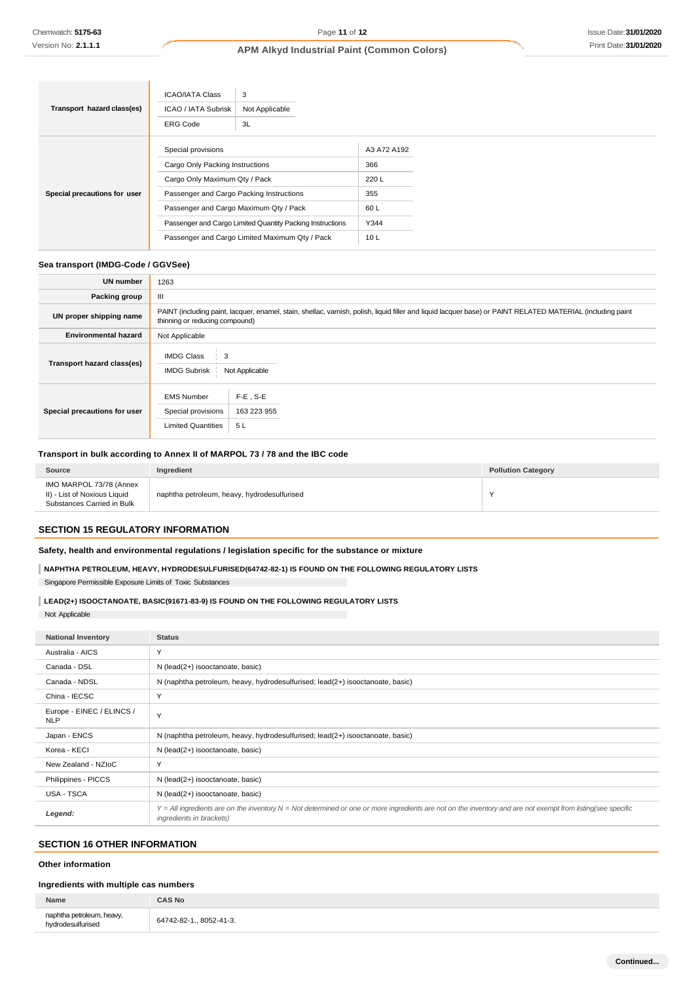| 3<br><b>ICAO/IATA Class</b>                                                |             |  |  |
|----------------------------------------------------------------------------|-------------|--|--|
| Transport hazard class(es)<br><b>ICAO / IATA Subrisk</b><br>Not Applicable |             |  |  |
| <b>ERG Code</b><br>3L                                                      |             |  |  |
| Special provisions                                                         | A3 A72 A192 |  |  |
| Cargo Only Packing Instructions                                            | 366         |  |  |
| Cargo Only Maximum Qty / Pack                                              | 220L        |  |  |
| Passenger and Cargo Packing Instructions<br>Special precautions for user   | 355         |  |  |
| Passenger and Cargo Maximum Qty / Pack                                     | 60L         |  |  |
| Passenger and Cargo Limited Quantity Packing Instructions                  | Y344        |  |  |
| Passenger and Cargo Limited Maximum Qty / Pack                             | 10L         |  |  |

## **Sea transport (IMDG-Code / GGVSee)**

| <b>UN number</b>             | 1263                                                                                                                                                                                          |                                  |  |  |
|------------------------------|-----------------------------------------------------------------------------------------------------------------------------------------------------------------------------------------------|----------------------------------|--|--|
| <b>Packing group</b>         | Ш                                                                                                                                                                                             |                                  |  |  |
| UN proper shipping name      | PAINT (including paint, lacquer, enamel, stain, shellac, varnish, polish, liquid filler and liquid lacquer base) or PAINT RELATED MATERIAL (including paint<br>thinning or reducing compound) |                                  |  |  |
| <b>Environmental hazard</b>  | Not Applicable                                                                                                                                                                                |                                  |  |  |
| Transport hazard class(es)   | <b>IMDG Class</b><br>3<br><b>IMDG Subrisk</b><br>Not Applicable                                                                                                                               |                                  |  |  |
| Special precautions for user | <b>EMS Number</b><br>Special provisions<br><b>Limited Quantities</b>                                                                                                                          | $F-E$ . S-E<br>163 223 955<br>5L |  |  |

## **Transport in bulk according to Annex II of MARPOL 73 / 78 and the IBC code**

| <b>Source</b>                                                                         | Ingredient                                  | <b>Pollution Category</b> |
|---------------------------------------------------------------------------------------|---------------------------------------------|---------------------------|
| IMO MARPOL 73/78 (Annex<br>II) - List of Noxious Liquid<br>Substances Carried in Bulk | naphtha petroleum, heavy, hydrodesulfurised |                           |

# **SECTION 15 REGULATORY INFORMATION**

## **Safety, health and environmental regulations / legislation specific for the substance or mixture**

**NAPHTHA PETROLEUM, HEAVY, HYDRODESULFURISED(64742-82-1) IS FOUND ON THE FOLLOWING REGULATORY LISTS**

Singapore Permissible Exposure Limits of Toxic Substances

## **LEAD(2+) ISOOCTANOATE, BASIC(91671-83-9) IS FOUND ON THE FOLLOWING REGULATORY LISTS**

Not Applicable

| <b>National Inventory</b>               | <b>Status</b>                                                                                                                                                                            |  |
|-----------------------------------------|------------------------------------------------------------------------------------------------------------------------------------------------------------------------------------------|--|
| Australia - AICS                        | Y                                                                                                                                                                                        |  |
| Canada - DSL                            | N (lead(2+) isooctanoate, basic)                                                                                                                                                         |  |
| Canada - NDSL                           | N (naphtha petroleum, heavy, hydrodesulfurised; lead(2+) isooctanoate, basic)                                                                                                            |  |
| China - IECSC                           | Y                                                                                                                                                                                        |  |
| Europe - EINEC / ELINCS /<br><b>NLP</b> | Y                                                                                                                                                                                        |  |
| Japan - ENCS                            | N (naphtha petroleum, heavy, hydrodesulfurised; lead(2+) isooctanoate, basic)                                                                                                            |  |
| Korea - KECI                            | N (lead(2+) isooctanoate, basic)                                                                                                                                                         |  |
| New Zealand - NZIoC                     | Y                                                                                                                                                                                        |  |
| Philippines - PICCS                     | N (lead(2+) isooctanoate, basic)                                                                                                                                                         |  |
| <b>USA - TSCA</b>                       | N (lead(2+) isooctanoate, basic)                                                                                                                                                         |  |
| Legend:                                 | Y = All ingredients are on the inventory N = Not determined or one or more ingredients are not on the inventory and are not exempt from listing(see specific<br>ingredients in brackets) |  |

# **SECTION 16 OTHER INFORMATION**

## **Other information**

### **Ingredients with multiple cas numbers**

| Name                                           | <b>CAS No</b>           |
|------------------------------------------------|-------------------------|
| naphtha petroleum, heavy,<br>hydrodesulfurised | 64742-82-1., 8052-41-3. |